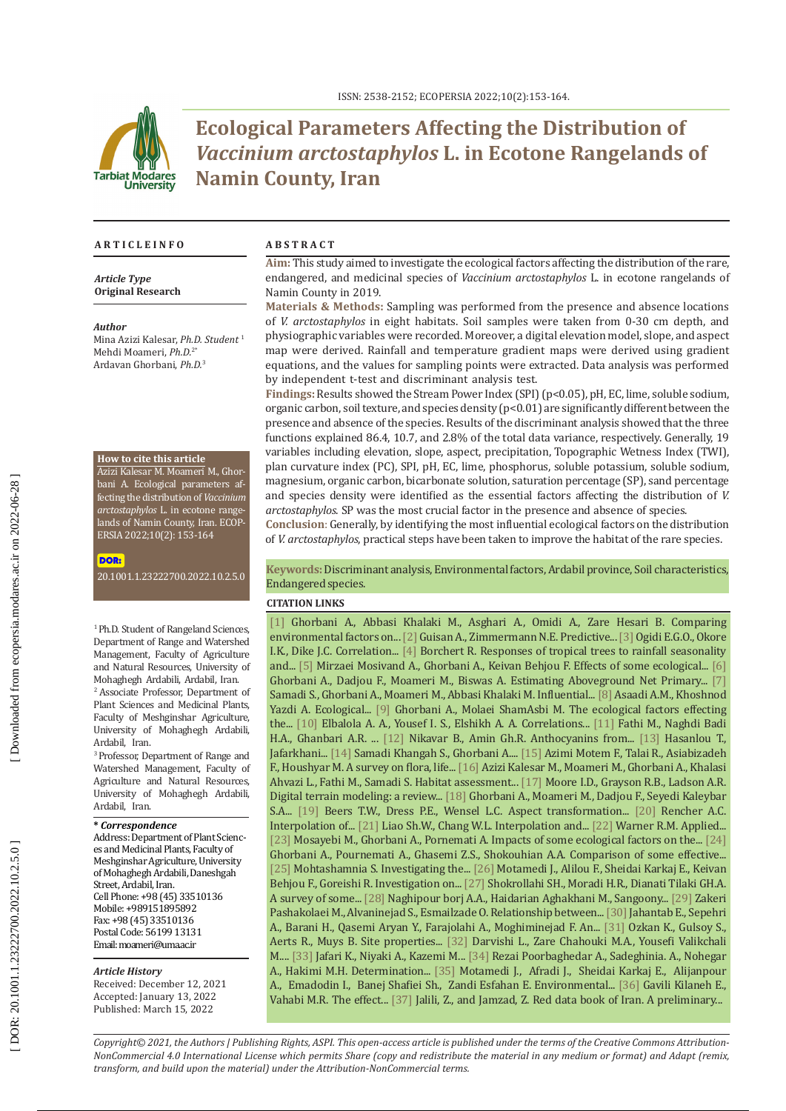

# **Ecological Parameters Affecting the Distribution of**  *Vaccinium arctostaphylos* **L. in Ecotone Rangelands of Namin County, Iran**

#### **A R T I C L E I N F O A B S T R A C T**

#### *Article Type* **Original Research**

#### *Author*

Mina Azizi Kalesar, *Ph.D. Student*  1 Mehdi Moameri, *Ph.D.* 2 \* Ardavan Ghorbani, *Ph.D.* 3

#### **How to cite this article**

Azizi Kalesar M. Moameri M., Ghor bani A. Ecological parameters affecting the distribution of *Vaccinium arctostaphylos* L. in ecotone range lands of Namin County, Iran. ECOP - ERSIA 2022;10(2): 153-164

#### DOR:

[20.1001.1.23222700.2022.10.2.5.0](https://ecopersia.modares.ac.ir/article-24-57593-en.html)

<sup>1</sup> Ph.D. Student of Rangeland Sciences, Department of Range and Watershed Management, Faculty of Agriculture and Natural Resources, University of Mohaghegh Ardabili, Ardabil, Iran.

2 Associate Professor, Department of Plant Sciences and Medicinal Plants, Faculty of Meshginshar Agriculture, University of Mohaghegh Ardabili, Ardabil, Iran.

3 Professor, Department of Range and Watershed Management, Faculty of Agriculture and Natural Resources, University of Mohaghegh Ardabili, Ardabil, Iran.

#### **\*** *Correspondence*

Address: Department of Plant Scienc es and Medicinal Plants, Faculty of Meshginshar Agriculture, University of Mohaghegh Ardabili, Daneshgah Street, Ardabil, Iran. Cell Phone: +98 (45) 33510136 Mobile: +989151895892 Fax: +98 (45) 33510136 Postal Code: 56199 13131 Email: moameri@uma.ac.ir

#### *Article History*

Received: December 12, 2021 Accepted: January 13, 2022 Published: March 15, 2022

**Aim:** This study aimed to investigate the ecological factors affecting the distribution of the rare, endangered, and medicinal species of *Vaccinium arctostaphylos* L. in ecotone rangelands of Namin County in 2019.

**Materials & Methods:** Sampling was performed from the presence and absence locations of *V. arctostaphylos* in eight habitats. Soil samples were taken from 0-30 cm depth, and physiographic variables were recorded. Moreover, a digital elevation model, slope, and aspect map were derived. Rainfall and temperature gradient maps were derived using gradient equations, and the values for sampling points were extracted. Data analysis was performed by independent t-test and discriminant analysis test.

**Findings:** Results showed the Stream Power Index (SPI) (p<0.05), pH, EC, lime, soluble sodium, organic carbon, soil texture, and species density (p<0.01) are significantly different between the presence and absence of the species. Results of the discriminant analysis showed that the three functions explained 86.4, 10.7, and 2.8% of the total data variance, respectively. Generally, 19 variables including elevation, slope, aspect, precipitation, Topographic Wetness Index (TWI), plan curvature index (PC), SPI, pH, EC, lime, phosphorus, soluble potassium, soluble sodium, magnesium, organic carbon, bicarbonate solution, saturation percentage (SP), sand percentage and species density were identified as the essential factors affecting the distribution of *V. arctostaphylos* . SP was the most crucial factor in the presence and absence of species.

**Conclusion** : Generally, by identifying the most influential ecological factors on the distribution of *V. arctostaphylos*, practical steps have been taken to improve the habitat of the rare species.

#### **Keywords:** Discriminant analysis, Environmental factors, Ardabil province, Soil characteristics, Endangered species.

#### **CITATION LINKS**

[\[1\]](http://rangelandsrm.ir/article-1-193-en.html) Ghorbani A., Abbasi Khalaki M., Asghari A., Omidi A., Zare Hesari B. Comparing environmental factors on... [\[2\]](https://www.sciencedirect.com/science/article/pii/S0304380000003549\r) Guisan A., Zimmermann N.E. Predictive... [3] Ogidi E.G.O., Okore I.K., Dike J.C. Correlation... [\[4\]]( https://www.infona.pl/resource/bwmeta1.element.springer-80bf7075-e1f4-3697-b2f4-2cec6d2e0b0f\r) Borchert R. Responses of tropical trees to rainfall seasonality and... [\[5\]](https://www.cabdirect.org/cabdirect/abstract/20183164111\r) Mirzaei Mosivand A., Ghorbani A., Keivan Behjou F. Effects of some ecological... [\[6\]](https://www.semanticscholar.org/paper/Estimating-Aboveground-Net-Primary-Production-Using-Ghorbani-Dadjou/04448d93cde67522e79631109ccd0fccdee2b9f7\r) Ghorbani A., Dadjou F., Moameri M., Biswas A. Estimating Aboveground Net Primary... [\[7\]]( https://www.sid.ir/en/Journal/ViewPaper.aspx?ID=751542\r) Samadi S., Ghorbani A., Moameri M., Abbasi Khalaki M. Influential... [\[8\]](https://jmpb.areeo.ac.ir/article_118147_b6570710dff26c5e37b8ded91a0f2555.pdf\r) Asaadi A.M., Khoshnod Yazdi A. Ecological... [\[9\]](http://www.rangeland.ir/article_677928.html\r) Ghorbani A., Molaei ShamAsbi M. The ecological factors effecting the... [\[10\]]( http://www.iaujournals.ir/article_679571.html\r) Elbalola A. A., Yousef I. S., Elshikh A. A. Correlations... [\[11\]](https://pubag.nal.usda.gov/catalog/6236596\r) Fathi M., Naghdi Badi H.A., Ghanbari A.R. ... [\[12\]]( https://www.tandfonline.com/doi/abs/10.1080/13880200490511819\r) Nikavar B., Amin Gh.R. Anthocyanins from... [\[13\]]( http://jmp.ir/article-1-2702-en.html\r) Hasanlou T., Jafarkhani... [\[14\]](https://ecopersia.modares.ac.ir/article-24-39729-en.html\r) Samadi Khangah S., Ghorbani A.... [\[15\]]( https://www.sid.ir/en/journal/ViewPaper.aspx?id=252779\r) Azimi Motem F., Talai R., Asiabizadeh F., Houshyar M. A survey on flora, life... [\[16\]](https://www.researchgate.net/publication/356389182_Habitat_assessment_for_Vaccinium_arctostaphylos_L_by_logistic_regression_method_in_the_rangelands_of_Namin-Ardabil\r) [Azizi Kalesar](http://rangelandsrm.ir/search.php?sid=1&slc_lang=en&auth=Azizi+Kalesar) M., [Moameri](http://rangelandsrm.ir/search.php?sid=1&slc_lang=en&auth=Moameri) M., [Ghorbani](http://rangelandsrm.ir/search.php?sid=1&slc_lang=en&auth=Ghorbani) A., [Khalasi](http://rangelandsrm.ir/search.php?sid=1&slc_lang=en&auth=Khalasi+Ahvazi)  [Ahvazi](http://rangelandsrm.ir/search.php?sid=1&slc_lang=en&auth=Khalasi+Ahvazi) L., [Fathi](http://rangelandsrm.ir/search.php?sid=1&slc_lang=en&auth=Fathi) M., [Samadi](http://rangelandsrm.ir/search.php?sid=1&slc_lang=en&auth=Samadi) S. [Habitat assessment.](http://rangelandsrm.ir/article-1-1071-en.pdf).. [\[17\]](https://onlinelibrary.wiley.com/doi/abs/10.1002/hyp.3360050103\r) Moore I.D., Grayson R.B., Ladson A.R. Digital terrain modeling: a review... [\[18\]](http://Determinization of environmental factors effects on plants production in QezelOzan-Kosar rangelands, Ardabil Province factors effect on rangelands production) Ghorbani A., Moameri M., Dadjou F., Seyedi Kaleybar S.A... [\[19\]](https://www.semanticscholar.org/paper/Notes-and-Observations%3A-Aspect-Transformation-in-Beers-Dress/f79b2b40e39554b842cd56dc5fba47805aaf48d5\r) Beers T.W., Dress P.E., Wensel L.C. Aspect transformation... [\[20\]](https://www.tandfonline.com/doi/abs/10.1080/00031305.1992.10475889\r) Rencher A.C. Interpolation of... [\[21\]](https://9lib.co/document/4yrg5l8q-interpretation-discrimination-marshy-wetlands-soil-factors-natural-taiwan.html\r) Liao Sh.W., Chang W.L. Interpolation and... [\[22\]](https://www.amazon.com/Applied-Statistics-Bivariate-Multivariate-Techniques/dp/141299134X\r) Warner R.M. Applied... [\[23\]](https://rangelandsrm.ir/article-1-641-en.html\r) Mosayebi M., Ghorbani A., Pornemati A. Impacts of some ecological factors on the... [\[24\]](https://jrwm.ut.ac.ir/?_action=article&au=561288&_au=a++p&lang=en\r) Ghorbani A., Pournemati A., Ghasemi Z.S., Shokouhian A.A. Comparison of some effective... [\[25\]](https://www.sid.ir/en/journal/ViewPaper.aspx?ID=252859\r) Mohtashamnia S. Investigating the... [\[26\]](http://pec.gonbad.ac.ir/article-1-71-en.html\r) Motamedi J., Alilou F., Sheidai Karkaj E., Keivan Behjou F., Goreishi R. Investigation on... [\[27\]](https://www.sid.ir/en/journal/ViewPaper.aspx?id=300259\r) Shokrollahi SH., Moradi H.R., Dianati Tilaki GH.A. A survey of some... [\[28\]]( https://plant.ijbio.ir/article_1373.html?lang=en\r) Naghipour borj A.A., Haidarian Aghakhani M., Sangoony... [\[29\]]( https://ijae.iut.ac.ir/article-1-514-en.html\r) Zakeri Pashakolaei M., Alvaninejad S., Esmailzade O. Relationship between... [30] Jahantab E., Sepehri A., Barani H., Qasemi Aryan Y., Farajolahi A., Moghiminejad F. An... [\[31\]](https://pubmed.ncbi.nlm.nih.gov/20648818/\r) Ozkan K., Gulsoy S., Aerts R., Muys B. Site properties... [\[32\]]( https://www.researchgate.net/publication/267082393_Investigation_of_some_environmental_factors_effective_on_Astragalus_gossypinus_Case_Study_of_the_Middle_Taleghan_Basin_Iran\r) Darvishi L., Zare Chahouki M.A., Yousefi Valikchali M.... [\[33\]](https://www.internationalscholarsjournals.com/articles/environmental-factors-affecting-the-distribution-of-ferulagummosa-boiss-in-northwest-rangeland-of-iran.pdf\r) Jafari K., Niyaki A., Kazemi M... [\[34\]](http://deej.kashanu.ac.ir/article-1-95-en.html\r) Rezai Poorbaghedar A., Sadeghinia. A., Nohegar A., Hakimi M.H. Determination... [\[35\]](ECOPERSIA 2020; 8\(4\): 247-259.  https://ecopersia.modares.ac.ir/article-24-27458-en.html\r) [Motamedi](https://ecopersia.modares.ac.ir/search.php?sid=24&slc_lang=en&auth=Motamedi) J., [Afradi](https://ecopersia.modares.ac.ir/search.php?sid=24&slc_lang=en&auth=Afradi) J., [Sheidai Karkaj](https://ecopersia.modares.ac.ir/search.php?sid=24&slc_lang=en&auth=Sheidai+Karkaj) E., [Alijanpour](https://ecopersia.modares.ac.ir/search.php?sid=24&slc_lang=en&auth=Alijanpour) A., [Emadodin](https://ecopersia.modares.ac.ir/search.php?sid=24&slc_lang=en&auth=Emadodin) I., [Banej Shafiei](https://ecopersia.modares.ac.ir/search.php?sid=24&slc_lang=en&auth=Banej+Shafiei) Sh., [Zandi Esfahan](https://ecopersia.modares.ac.ir/search.php?sid=24&slc_lang=en&auth=Zandi+Esfahan) E. [Environmental](https://ecopersia.modares.ac.ir/article-24-27458-en.pdf)... [\[36\]]( https://www.sid.ir/en/journal/ViewPaper.aspx?id=260287\r) Gavili Kilaneh E., Vahabi M.R. The effect... [\[37\]](https://publications.rifr-ac.ir/product/red-data-book-of-iran-a-preliminary-survey-of-endemic-rare-endangered-plant-species-in-iran/) Jalili, Z., and Jamzad, Z. Red data book of Iran. A preliminary...

*Copyright© 2021, the Authors | Publishing Rights, ASPI. This open-access article is published under the terms of the Creative Commons Attribution-NonCommercial 4.0 International License which permits Share (copy and redistribute the material in any medium or format) and Adapt (remix, transform, and build upon the material) under the Attribution-NonCommercial terms.*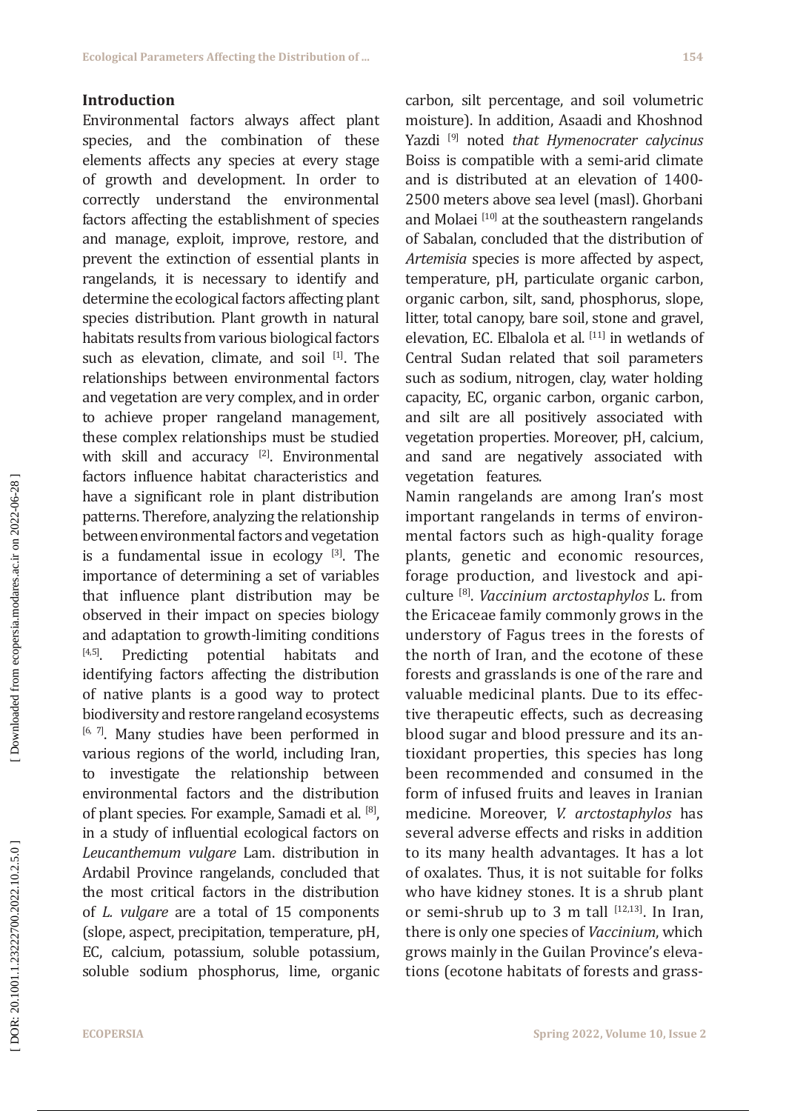### **Introduction**

Environmental factors always affect plant species, and the combination of these elements affects any species at every stage of growth and development. In order to correctly understand the environmental factors affecting the establishment of species and manage, exploit, improve, restore, and prevent the extinction of essential plants in rangelands, it is necessary to identify and determine the ecological factors affecting plant species distribution. Plant growth in natural habitats results from various biological factors such as elevation, climate, and soil [1]. The relationships between environmental factors and vegetation are very complex, and in order to achieve proper rangeland management, these complex relationships must be studied with skill and accuracy [2]. Environmental factors influence habitat characteristics and have a significant role in plant distribution patterns. Therefore, analyzing the relationship between environmental factors and vegetation is a fundamental issue in ecology  $[3]$ . The importance of determining a set of variables that influence plant distribution may be observed in their impact on species biology and adaptation to growth-limiting conditions<br> $[4,5]$ . Predicting potential habitats and Predicting potential habitats and identifying factors affecting the distribution of native plants is a good way to protect biodiversity and restore rangeland ecosystems [6, 7]. Many studies have been performed in various regions of the world, including Iran, to investigate the relationship between environmental factors and the distribution of plant species. For example, Samadi et al. [8], in a study of influential ecological factors on *Leucanthemum vulgare* Lam. distribution in Ardabil Province rangelands, concluded that the most critical factors in the distribution of *L. vulgare* are a total of 15 components (slope, aspect, precipitation, temperature, pH, EC, calcium, potassium, soluble potassium, soluble sodium phosphorus, lime, organic

carbon, silt percentage, and soil volumetric moisture). In addition, Asaadi and Khoshnod Yazdi [9] noted *that Hymenocrater calycinus* Boiss is compatible with a semi-arid climate and is distributed at an elevation of 1400- 2500 meters above sea level (masl). Ghorbani and Molaei  $[10]$  at the southeastern rangelands of Sabalan, concluded that the distribution of *Artemisia* species is more affected by aspect, temperature, pH, particulate organic carbon, organic carbon, silt, sand, phosphorus, slope, litter, total canopy, bare soil, stone and gravel, elevation, EC. Elbalola et al. [11] in wetlands of Central Sudan related that soil parameters such as sodium, nitrogen, clay, water holding capacity, EC, organic carbon, organic carbon, and silt are all positively associated with vegetation properties. Moreover, pH, calcium, and sand are negatively associated with vegetation features.

Namin rangelands are among Iran's most important rangelands in terms of environ mental factors such as high-quality forage plants, genetic and economic resources, forage production, and livestock and api culture [8]. *Vaccinium arctostaphylos* L. from the Ericaceae family commonly grows in the understory of Fagus trees in the forests of the north of Iran, and the ecotone of these forests and grasslands is one of the rare and valuable medicinal plants. Due to its effec tive therapeutic effects, such as decreasing blood sugar and blood pressure and its an tioxidant properties, this species has long been recommended and consumed in the form of infused fruits and leaves in Iranian medicine. Moreover, *V. arctostaphylos* has several adverse effects and risks in addition to its many health advantages. It has a lot of oxalates. Thus, it is not suitable for folks who have kidney stones. It is a shrub plant or semi-shrub up to 3 m tall  $[12,13]$ . In Iran, there is only one species of *Vaccinium*, which grows mainly in the Guilan Province's eleva tions (ecotone habitats of forests and grass -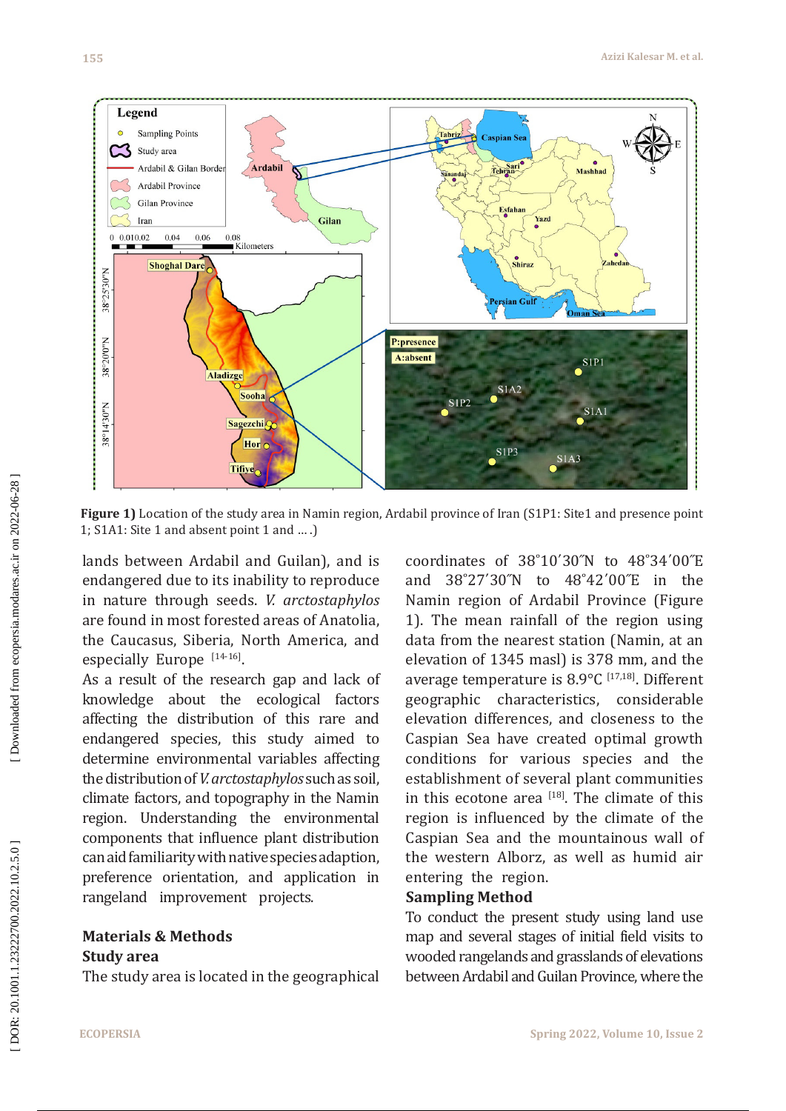

Figure 1) Location of the study area in Namin region, Ardabil province of Iran (S1P1: Site1 and presence point 1; S1A1: Site 1 and absent point 1 and … .)

lands between Ardabil and Guilan), and is endangered due to its inability to reproduce in nature through seeds. *V. arctostaphylos* are found in most forested areas of Anatolia, the Caucasus, Siberia, North America, and especially Europe [14-16].

As a result of the research gap and lack of knowledge about the ecological factors affecting the distribution of this rare and endangered species, this study aimed to determine environmental variables affecting the distribution of *V. arctostaphylos* such as soil, climate factors, and topography in the Namin region. Understanding the environmental components that influence plant distribution can aid familiarity with native species adaption, preference orientation, and application in rangeland improvement projects.

### **Materials & Methods Study area**

The study area is located in the geographical

coordinates of 38˚10΄30˝N to 48˚34΄00˝E and 38˚27΄30˝N to 48˚42΄00˝E in the Namin region of Ardabil Province (Figure 1). The mean rainfall of the region using data from the nearest station (Namin, at an elevation of 1345 masl) is 378 mm, and the average temperature is  $8.9^{\circ}$ C [17,18]. Different geographic characteristics, considerable elevation differences, and closeness to the Caspian Sea have created optimal growth conditions for various species and the establishment of several plant communities in this ecotone area  $[18]$ . The climate of this region is influenced by the climate of the Caspian Sea and the mountainous wall of the western Alborz, as well as humid air entering the region.

### **Sampling Method**

To conduct the present study using land use map and several stages of initial field visits to wooded rangelands and grasslands of elevations between Ardabil and Guilan Province, where the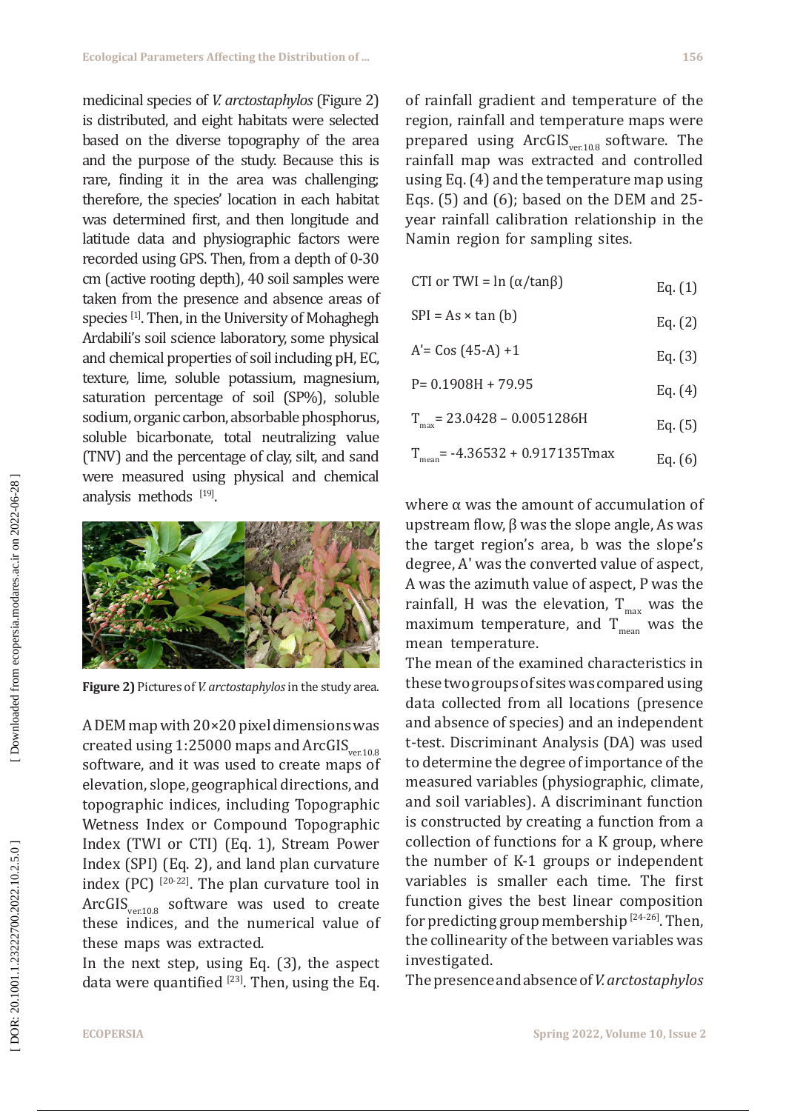medicinal species of *V. arctostaphylos* (Figure 2) is distributed, and eight habitats were selected based on the diverse topography of the area and the purpose of the study. Because this is rare, finding it in the area was challenging; therefore, the species' location in each habitat was determined first, and then longitude and latitude data and physiographic factors were recorded using GPS. Then, from a depth of 0-30 cm (active rooting depth), 40 soil samples were taken from the presence and absence areas of species [1]. Then, in the University of Mohaghegh Ardabili's soil science laboratory, some physical and chemical properties of soil including pH, EC, texture, lime, soluble potassium, magnesium, saturation percentage of soil (SP%), soluble sodium, organic carbon, absorbable phosphorus, soluble bicarbonate, total neutralizing value (TNV) and the percentage of clay, silt, and sand were measured using physical and chemical analysis methods  $[19]$ .



**Figure 2)** Pictures of *V. arctostaphylos* in the study area.

A DEM map with 20 ×20 pixel dimensions was created using  $1:25000$  maps and ArcGIS<sub>ver10.8</sub> software, and it was used to create maps of elevation, slope, geographical directions, and topographic indices, including Topographic Wetness Index or Compound Topographic Index (TWI or CTI) (Eq. 1), Stream Power Index (SPI) (Eq. 2), and land plan curvature index (PC)  $[20-22]$ . The plan curvature tool in  $ArcGIS_{\text{ver.10.8}}$  software was used to create these indices, and the numerical value of these maps was extracted.

In the next step, using Eq. (3), the aspect data were quantified  $[23]$ . Then, using the Eq.

of rainfall gradient and temperature of the region, rainfall and temperature maps were prepared using  $ArcGIS_{vert0.8}$  software. The rainfall map was extracted and controlled using Eq. (4) and the temperature map using Eqs. (5) and (6); based on the DEM and 25 year rainfall calibration relationship in the Namin region for sampling sites.

- CTI or TWI =  $\ln (\alpha / \tan \beta)$  Eq. (1)
- $SPI = As \times \tan(b)$  Eq. (2)
- $A' = Cos (45-A) +1$  Eq. (3)
- $P= 0.1908H + 79.95$  Eq. (4)
- $T_{max}$  = 23.0428 0.0051286H Eq. (5)
- $T_{\text{mean}}$  = -4.36532 + 0.917135Tmax Eq. (6)

where  $\alpha$  was the amount of accumulation of upstream flow,  $β$  was the slope angle, As was the target region's area, b was the slope's degree, A ʹ was the converted value of aspect, A was the azimuth value of aspect, P was the rainfall, H was the elevation,  $T_{max}$  was the maximum temperature, and  $T_{mean}$  was the mean temperature.

The mean of the examined characteristics in these two groups of sites was compared using data collected from all locations (presence and absence of species) and an independent t-test. Discriminant Analysis (DA) was used to determine the degree of importance of the measured variables (physiographic, climate, and soil variables). A discriminant function is constructed by creating a function from a collection of functions for a K group, where the number of K-1 groups or independent variables is smaller each time. The first function gives the best linear composition for predicting group membership  $[24-26]$ . Then, the collinearity of the between variables was investigated.

The presence and absence of *V. arctostaphylos*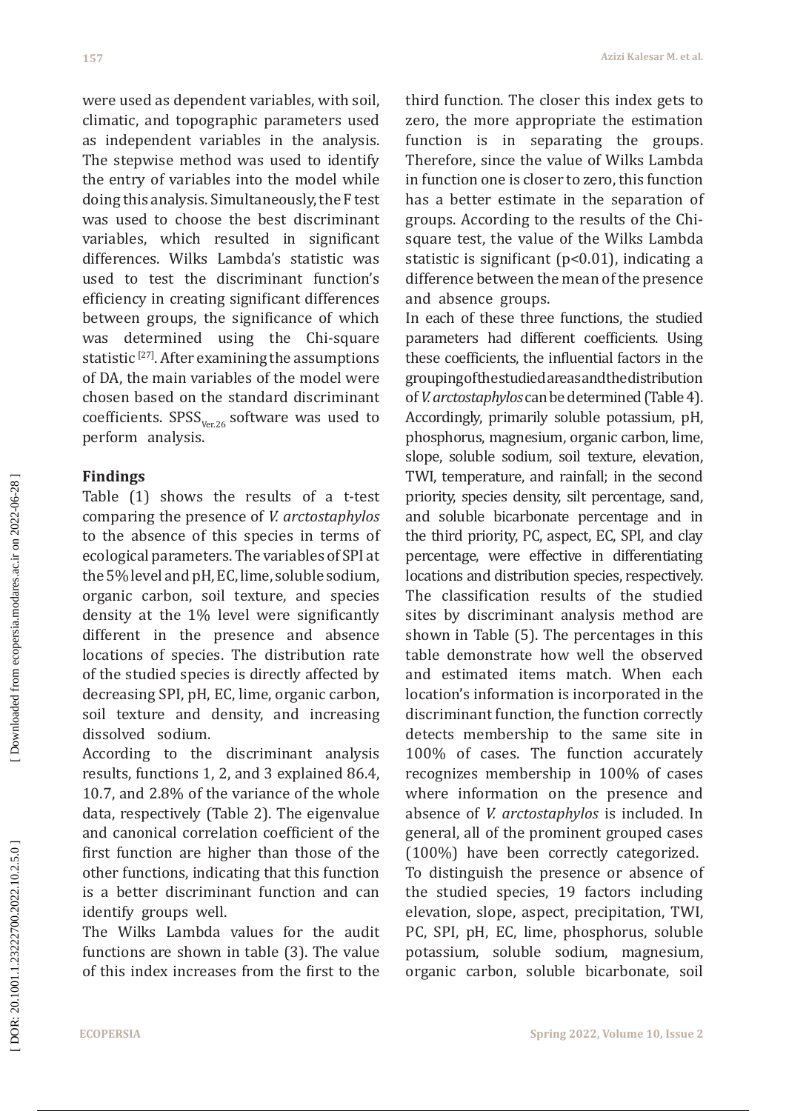were used as dependent variables, with soil, climatic, and topographic parameters used as independent variables in the analysis. The stepwise method was used to identify the entry of variables into the model while doing this analysis. Simultaneously, the F test was used to choose the best discriminant variables, which resulted in significant differences. Wilks Lambda's statistic was used to test the discriminant function's efficiency in creating significant differences between groups, the significance of which was determined using the Chi-square statistic<sup>[27]</sup>. After examining the assumptions of DA, the main variables of the model were chosen based on the standard discriminant coefficients.  $SPSS$ <sub>Ver26</sub> software was used to perform analysis.

### **Findings**

Table (1) shows the results of a t-test comparing the presence of *V. arctostaphylos* to the absence of this species in terms of ecological parameters. The variables of SPI at the 5% level and pH, EC, lime, soluble sodium, organic carbon, soil texture, and species density at the 1% level were significantly different in the presence and absence locations of species. The distribution rate of the studied species is directly affected by decreasing SPI, pH, EC, lime, organic carbon, soil texture and density, and increasing dissolved sodium.

According to the discriminant analysis results, functions 1, 2, and 3 explained 86.4, 10.7, and 2.8% of the variance of the whole data, respectively (Table 2). The eigenvalue and canonical correlation coefficient of the first function are higher than those of the other functions, indicating that this function is a better discriminant function and can identify groups well.

The Wilks Lambda values for the audit functions are shown in table (3). The value of this index increases from the first to the

third function. The closer this index gets to zero, the more appropriate the estimation function is in separating the groups. Therefore, since the value of Wilks Lambda in function one is closer to zero, this function has a better estimate in the separation of groups. According to the results of the Chisquare test, the value of the Wilks Lambda statistic is significant (p<0.01), indicating a difference between the mean of the presence and absence groups.

In each of these three functions, the studied parameters had different coefficients. Using these coefficients, the influential factors in the grouping of the studied areas and the distribution of *V. arctostaphylos* can be determined (Table 4). Accordingly, primarily soluble potassium, pH, phosphorus, magnesium, organic carbon, lime, slope, soluble sodium, soil texture, elevation, TWI, temperature, and rainfall; in the second priority, species density, silt percentage, sand, and soluble bicarbonate percentage and in the third priority, PC, aspect, EC, SPI, and clay percentage, were effective in differentiating locations and distribution species, respectively. The classification results of the studied sites by discriminant analysis method are shown in Table (5). The percentages in this table demonstrate how well the observed and estimated items match. When each location's information is incorporated in the discriminant function, the function correctly detects membership to the same site in 100% of cases. The function accurately recognizes membership in 100% of cases where information on the presence and absence of *V. arctostaphylos* is included. In general, all of the prominent grouped cases (100%) have been correctly categorized. To distinguish the presence or absence of the studied species, 19 factors including elevation, slope, aspect, precipitation, TWI, PC, SPI, pH, EC, lime, phosphorus, soluble potassium, soluble sodium, magnesium, organic carbon, soluble bicarbonate, soil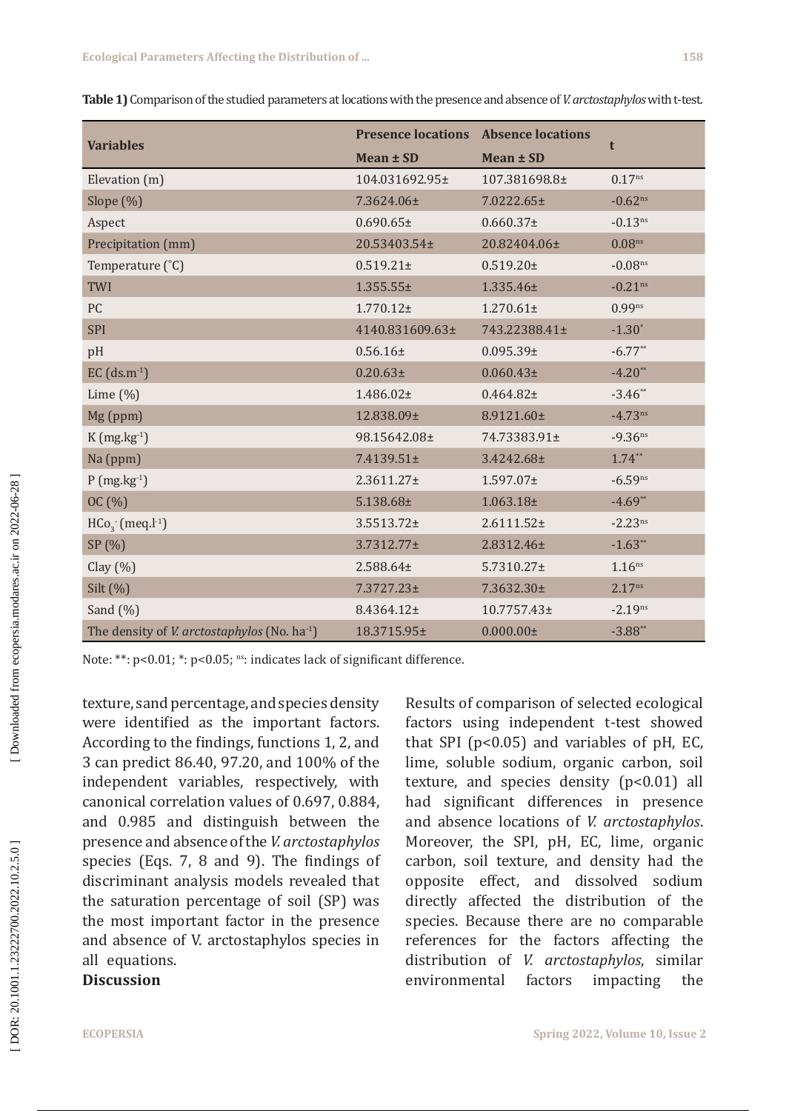|                                                                 | <b>Presence locations</b> | <b>Absence locations</b> |                       |  |
|-----------------------------------------------------------------|---------------------------|--------------------------|-----------------------|--|
| <b>Variables</b>                                                | Mean ± SD                 | Mean ± SD                | t                     |  |
| Elevation (m)                                                   | 104.031692.95±            | 107.381698.8±            | $0.17^{ns}$           |  |
| Slope $(\%)$                                                    | 7.3624.06±                | 7.0222.65±               | $-0.62^{ns}$          |  |
| Aspect                                                          | $0.690.65\pm$             | $0.660.37\pm$            | $-0.13^{ns}$          |  |
| Precipitation (mm)                                              | 20.53403.54±              | 20.82404.06±             | 0.08 <sup>ns</sup>    |  |
| Temperature (°C)                                                | $0.519.21 \pm$            | $0.519.20 \pm$           | $-0.08$ ns            |  |
| TWI                                                             | $1.355.55\pm$             | 1.335.46±                | $-0.21$ <sup>ns</sup> |  |
| PC                                                              | $1.770.12 \pm$            | $1.270.61 \pm$           | $0.99^{ns}$           |  |
| <b>SPI</b>                                                      | 4140.831609.63±           | 743.22388.41±            | $-1.30*$              |  |
| pH                                                              | $0.56.16\pm$              | $0.095.39\pm$            | $-6.77**$             |  |
| $EC$ (ds.m <sup>-1</sup> )                                      | $0.20.63\pm$              | $0.060.43\pm$            | $-4.20**$             |  |
| Lime $(\%)$                                                     | 1.486.02±                 | $0.464.82 \pm$           | $-3.46**$             |  |
| Mg (ppm)                                                        | 12.838.09±                | 8.9121.60±               | $-4.73^{ns}$          |  |
| $K$ (mg.kg $^{-1}$ )                                            | 98.15642.08±              | 74.73383.91±             | $-9.36$ ns            |  |
| Na (ppm)                                                        | 7.4139.51±                | 3.4242.68±               | $1.74**$              |  |
| $P(mg.kg-1)$                                                    | $2.3611.27 \pm$           | $1.597.07 \pm$           | $-6.59^{ns}$          |  |
| OC(%)                                                           | 5.138.68±                 | $1.063.18\pm$            | $-4.69**$             |  |
| $HCo3$ (meq.l <sup>-1</sup> )                                   | 3.5513.72±                | $2.6111.52 \pm$          | $-2.23^{ns}$          |  |
| SP (%)                                                          | 3.7312.77±                | 2.8312.46±               | $-1.63**$             |  |
| Clay $(\% )$                                                    | 2.588.64±                 | $5.7310.27 \pm$          | 1.16 <sup>ns</sup>    |  |
| Silt (%)                                                        | $7.3727.23 \pm$           | 7.3632.30±               | 2.17 <sup>ns</sup>    |  |
| Sand $(\%)$                                                     | 8.4364.12±                | 10.7757.43±              | $-2.19^{ns}$          |  |
| The density of <i>V. arctostaphylos</i> (No. ha <sup>-1</sup> ) | 18.3715.95±               | $0.000.00 \pm$           | $-3.88**$             |  |

**Table 1)** Comparison of the studied parameters at locations with the presence and absence of *V. arctostaphylos* with t-test.

Note: \*\*: p<0.01; \*: p<0.05; ns: indicates lack of significant difference.

texture, sand percentage, and species density were identified as the important factors. According to the findings, functions 1, 2, and 3 can predict 86.40, 97.20, and 100% of the independent variables, respectively, with canonical correlation values of 0.697, 0.884, and 0.985 and distinguish between the presence and absence of the *V. arctostaphylos* species (Eqs. 7, 8 and 9). The findings of discriminant analysis models revealed that the saturation percentage of soil (SP) was the most important factor in the presence and absence of V. arctostaphylos species in all equations.

### **Discussion**

Results of comparison of selected ecological factors using independent t-test showed that SPI ( $p<0.05$ ) and variables of  $pH$ , EC, lime, soluble sodium, organic carbon, soil texture, and species density  $(p<0.01)$  all had significant differences in presence and absence locations of *V. arctostaphylos*. Moreover, the SPI, pH, EC, lime, organic carbon, soil texture, and density had the opposite effect, and dissolved sodium directly affected the distribution of the species. Because there are no comparable references for the factors affecting the distribution of *V. arctostaphylos*, similar environmental factors impacting the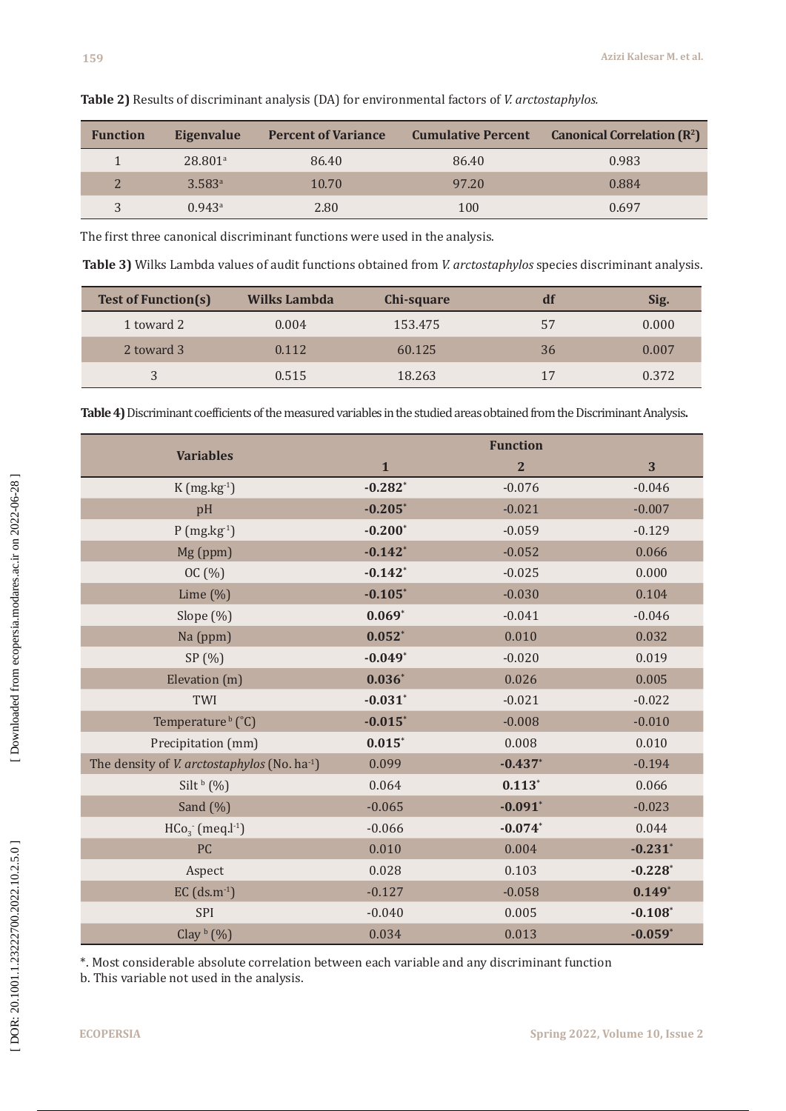| <b>Function</b> | Eigenvalue            | <b>Percent of Variance</b> |       | <b>Cumulative Percent</b> Canonical Correlation $(\mathbb{R}^2)$ |
|-----------------|-----------------------|----------------------------|-------|------------------------------------------------------------------|
|                 | $28.801$ <sup>a</sup> | 86.40                      | 86.40 | 0.983                                                            |
|                 | $3.583^{\circ}$       | 10.70                      | 97.20 | 0.884                                                            |
| 3               | 0.943a                | 2.80                       | 100   | 0.697                                                            |

**Table 2)** Results of discriminant analysis (DA) for environmental factors of *V. arctostaphylos.*

The first three canonical discriminant functions were used in the analysis.

**Table 3)** Wilks Lambda values of audit functions obtained from *V. arctostaphylos* species discriminant analysis.

| <b>Test of Function(s)</b> | Wilks Lambda | Chi-square | df | Sig.  |
|----------------------------|--------------|------------|----|-------|
| 1 toward 2                 | 0.004        | 153.475    | 57 | 0.000 |
| 2 toward 3                 | 0.112        | 60.125     | 36 | 0.007 |
| 3                          | 0.515        | 18.263     | 17 | 0.372 |

**Table 4)** Discriminant coefficients of the measured variables in the studied areas obtained from the Discriminant Analysis **.**

|                                                                 | <b>Function</b>       |                |                       |  |
|-----------------------------------------------------------------|-----------------------|----------------|-----------------------|--|
| <b>Variables</b>                                                | $\mathbf{1}$          | $\overline{2}$ | 3                     |  |
| $K$ (mg.kg $^{-1}$ )                                            | $-0.282$ <sup>*</sup> | $-0.076$       | $-0.046$              |  |
| pH                                                              | $-0.205$              | $-0.021$       | $-0.007$              |  |
| $P(mg.kg-1)$                                                    | $-0.200*$             | $-0.059$       | $-0.129$              |  |
| Mg (ppm)                                                        | $-0.142$ *            | $-0.052$       | 0.066                 |  |
| OC(%)                                                           | $-0.142*$             | $-0.025$       | 0.000                 |  |
| Lime $(\%)$                                                     | $-0.105*$             | $-0.030$       | 0.104                 |  |
| Slope (%)                                                       | $0.069*$              | $-0.041$       | $-0.046$              |  |
| Na (ppm)                                                        | $0.052*$              | 0.010          | 0.032                 |  |
| SP(%)                                                           | $-0.049*$             | $-0.020$       | 0.019                 |  |
| Elevation (m)                                                   | $0.036*$              | 0.026          | 0.005                 |  |
| TWI                                                             | $-0.031$ *            | $-0.021$       | $-0.022$              |  |
| Temperature <sup>b</sup> (°C)                                   | $-0.015$ *            | $-0.008$       | $-0.010$              |  |
| Precipitation (mm)                                              | $0.015*$              | 0.008          | 0.010                 |  |
| The density of <i>V. arctostaphylos</i> (No. ha <sup>-1</sup> ) | 0.099                 | $-0.437*$      | $-0.194$              |  |
| Silt $\frac{b}{2}$ (%)                                          | 0.064                 | $0.113*$       | 0.066                 |  |
| Sand $(\%)$                                                     | $-0.065$              | $-0.091$ *     | $-0.023$              |  |
| $HCo3$ (meq.l <sup>-1</sup> )                                   | $-0.066$              | $-0.074*$      | 0.044                 |  |
| PC                                                              | 0.010                 | 0.004          | $-0.231$ *            |  |
| Aspect                                                          | 0.028                 | 0.103          | $-0.228$ <sup>*</sup> |  |
| $EC$ (ds.m <sup>-1</sup> )                                      | $-0.127$              | $-0.058$       | $0.149*$              |  |
| SPI                                                             | $-0.040$              | 0.005          | $-0.108$              |  |
| Clay $\frac{b}{b}$ (%)                                          | 0.034                 | 0.013          | $-0.059*$             |  |

\*. Most considerable absolute correlation between each variable and any discriminant function

b. This variable not used in the analysis.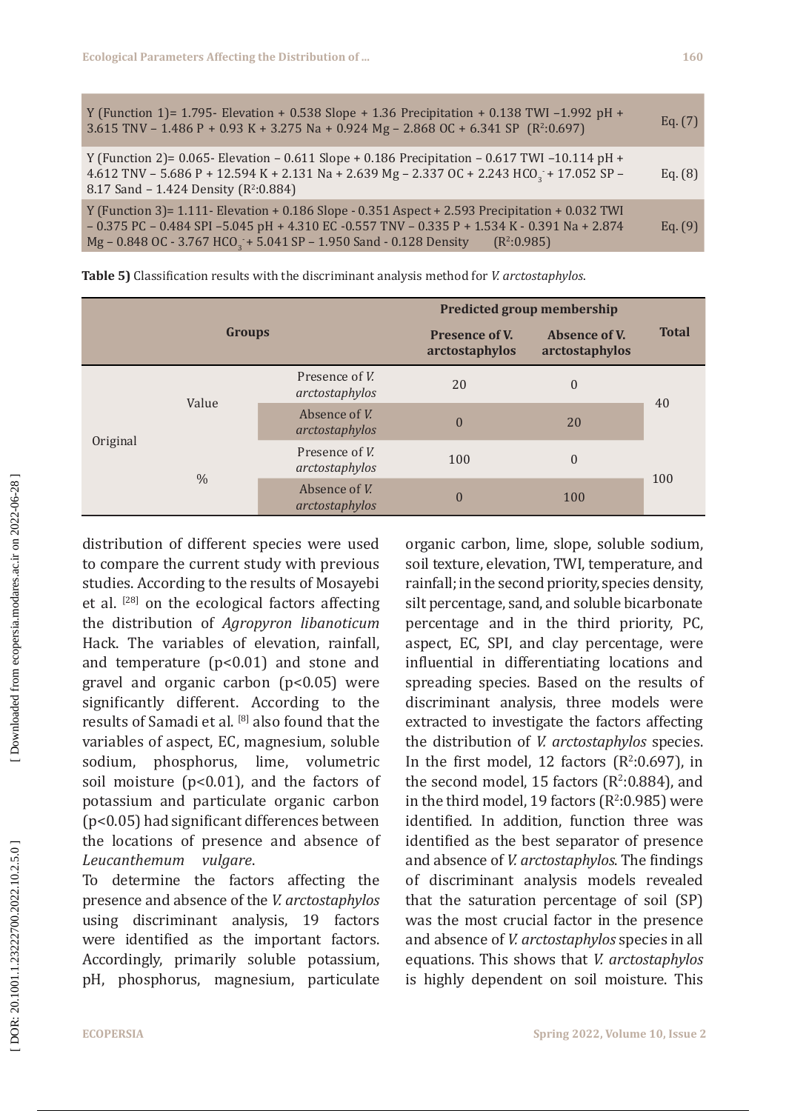| Y (Function 1)= 1.795- Elevation + 0.538 Slope + 1.36 Precipitation + 0.138 TWI -1.992 pH +<br>3.615 TNV - 1.486 P + 0.93 K + 3.275 Na + 0.924 Mg - 2.868 OC + 6.341 SP ( $R^2:0.697$ )                                                                                                                                  | Eq. (7) |
|--------------------------------------------------------------------------------------------------------------------------------------------------------------------------------------------------------------------------------------------------------------------------------------------------------------------------|---------|
| Y (Function 2)= 0.065- Elevation – 0.611 Slope + 0.186 Precipitation – 0.617 TWI –10.114 pH +<br>4.612 TNV - 5.686 P + 12.594 K + 2.131 Na + 2.639 Mg - 2.337 OC + 2.243 HCO <sub>3</sub> + 17.052 SP -<br>8.17 Sand - 1.424 Density ( $R^2:0.884$ )                                                                     | Eq. (8) |
| Y (Function 3)= 1.111- Elevation + 0.186 Slope - 0.351 Aspect + 2.593 Precipitation + 0.032 TWI<br>$-0.375$ PC $-0.484$ SPI $-5.045$ pH $+4.310$ EC $-0.557$ TNV $-0.335$ P $+1.534$ K $-0.391$ Na $+2.874$<br>Mg - 0.848 OC - 3.767 HCO <sub>3</sub> + 5.041 SP - 1.950 Sand - 0.128 Density<br>(R <sup>2</sup> :0.985) | Eq. (9) |

|               |       |                                          | <b>Predicted group membership</b> |              |     |
|---------------|-------|------------------------------------------|-----------------------------------|--------------|-----|
| <b>Groups</b> |       | <b>Presence of V.</b><br>arctostaphylos  | Absence of V.<br>arctostaphylos   | <b>Total</b> |     |
| Original      | Value | Presence of <i>V</i> .<br>arctostaphylos | 20                                | $\theta$     | 40  |
|               |       | Absence of V.<br>arctostaphylos          | $\mathbf{0}$                      | 20           |     |
|               | $\%$  | Presence of V.<br>arctostaphylos         | 100                               | $\theta$     |     |
|               |       | Absence of V.<br>arctostaphylos          | $\mathbf{0}$                      | 100          | 100 |

**Table 5)** Classification results with the discriminant analysis method for *V. arctostaphylos*.

distribution of different species were used to compare the current study with previous studies. According to the results of Mosayebi et al. [28] on the ecological factors affecting the distribution of *Agropyron libanoticum* Hack. The variables of elevation, rainfall, and temperature (p<0.01) and stone and gravel and organic carbon (p<0.05) were significantly different. According to the results of Samadi et al. [8] also found that the variables of aspect, EC, magnesium, soluble sodium, phosphorus, lime, volumetric soil moisture (p<0.01), and the factors of potassium and particulate organic carbon (p<0.05) had significant differences between the locations of presence and absence of *Leucanthemum* vulgare.

To determine the factors affecting the presence and absence of the *V. arctostaphylos* using discriminant analysis, 19 factors were identified as the important factors. Accordingly, primarily soluble potassium, pH, phosphorus, magnesium, particulate organic carbon, lime, slope, soluble sodium, soil texture, elevation, TWI, temperature, and rainfall; in the second priority, species density, silt percentage, sand, and soluble bicarbonate percentage and in the third priority, PC, aspect, EC, SPI, and clay percentage, were influential in differentiating locations and spreading species . Based on the results of discriminant analysis, three models were extracted to investigate the factors affecting the distribution of *V. arctostaphylos* species. In the first model, 12 factors  $(R^2:0.697)$ , in the second model,  $15$  factors ( $R^2:0.884$ ), and in the third model, 19 factors (R 2 :0.985) were identified. In addition, function three was identified as the best separator of presence and absence of *V. arctostaphylos*. The findings of discriminant analysis models revealed that the saturation percentage of soil (SP) was the most crucial factor in the presence and absence of *V. arctostaphylos* species in all equations. This shows that *V. arctostaphylos* is highly dependent on soil moisture. This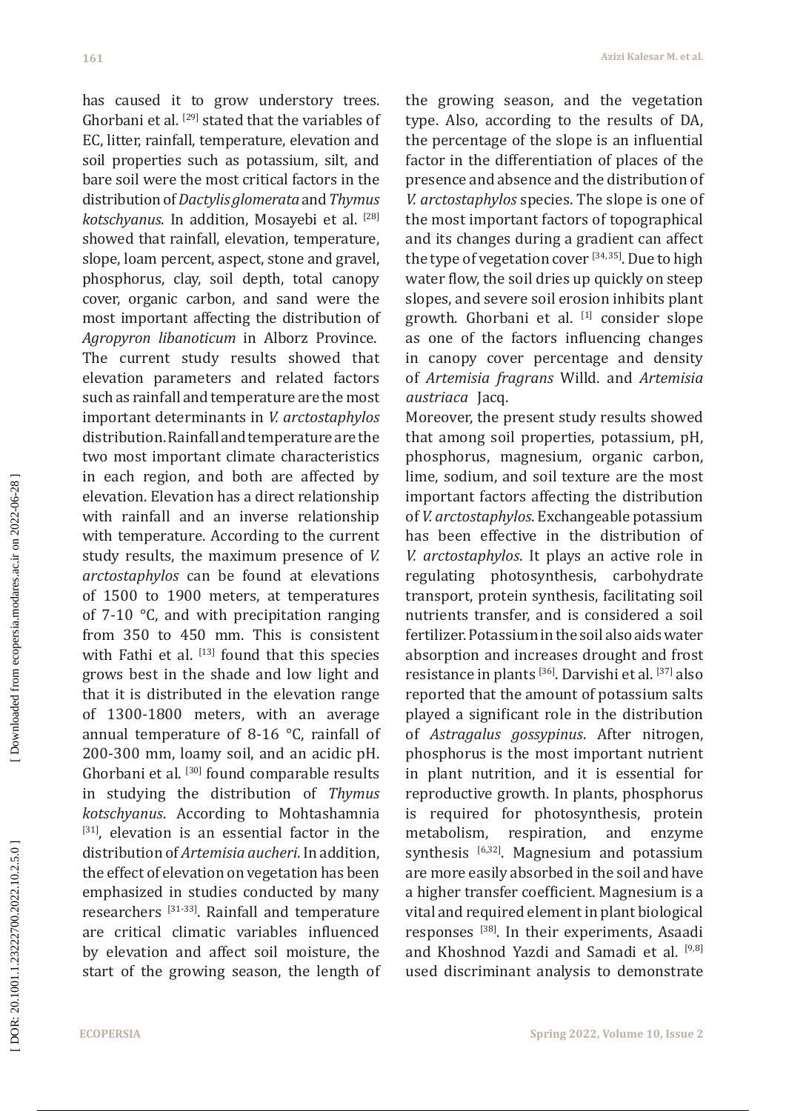has caused it to grow understory trees. Ghorbani et al. [29] stated that the variables of EC, litter, rainfall, temperature, elevation and soil properties such as potassium, silt, and bare soil were the most critical factors in the distribution of *Dactylisglomerata* and *Thymus kotschyanus*. In addition, Mosayebi et al. [28] showed that rainfall, elevation, temperature, slope, loam percent, aspect, stone and gravel, phosphorus, clay, soil depth, total canopy cover, organic carbon, and sand were the most important affecting the distribution of *Agropyron libanoticum* in Alborz Province. The current study results showed that elevation parameters and related factors such as rainfall and temperature are the most important determinants in *V. arctostaphylos* distribution. Rainfall and temperature are the two most important climate characteristics in each region, and both are affected by elevation. Elevation has a direct relationship with rainfall and an inverse relationship with temperature. According to the current study results, the maximum presence of *V. arctostaphylos* can be found at elevations of 1500 to 1900 meters, at temperatures of 7-10 °C, and with precipitation ranging from 350 to 450 mm. This is consistent with Fathi et al. [13] found that this species grows best in the shade and low light and that it is distributed in the elevation range of 1300-1800 meters, with an average annual temperature of 8-16 °C, rainfall of 200-300 mm, loamy soil, and an acidic pH. Ghorbani et al. [30] found comparable results in studying the distribution of *Thymus kotschyanus*. According to Mohtashamnia  $[31]$ , elevation is an essential factor in the distribution of *Artemisia aucheri*. In addition, the effect of elevation on vegetation has been emphasized in studies conducted by many researchers [31-33]. Rainfall and temperature are critical climatic variables influenced by elevation and affect soil moisture, the start of the growing season, the length of the growing season, and the vegetation type. Also, according to the results of DA, the percentage of the slope is an influential factor in the differentiation of places of the presence and absence and the distribution of *V. arctostaphylos* species. The slope is one of the most important factors of topographical and its changes during a gradient can affect the type of vegetation cover  $[34, 35]$ . Due to high water flow, the soil dries up quickly on steep slopes, and severe soil erosion inhibits plant growth. Ghorbani et al.  $[1]$  consider slope as one of the factors influencing changes in canopy cover percentage and density of *Artemisia fragrans* Willd. and *Artemisia austriaca* Jacq.

Moreover, the present study results showed that among soil properties, potassium, pH, phosphorus, magnesium, organic carbon, lime, sodium, and soil texture are the most important factors affecting the distribution of *V. arctostaphylos*. Exchangeable potassium has been effective in the distribution of *V. arctostaphylos*. It plays an active role in regulating photosynthesis, carbohydrate transport, protein synthesis, facilitating soil nutrients transfer, and is considered a soil fertilizer. Potassium in the soil also aids water absorption and increases drought and frost resistance in plants [36]. Darvishi et al. [37] also reported that the amount of potassium salts played a significant role in the distribution of *Astragalus gossypinus*. After nitrogen, phosphorus is the most important nutrient in plant nutrition, and it is essential for reproductive growth. In plants, phosphorus is required for photosynthesis, protein<br>metabolism, respiration, and enzyme metabolism, respiration, and enzyme synthesis  $[6,32]$ . Magnesium and potassium are more easily absorbed in the soil and have a higher transfer coefficient. Magnesium is a vital and required element in plant biological responses [38]. In their experiments, Asaadi and Khoshnod Yazdi and Samadi et al. [9,8] used discriminant analysis to demonstrate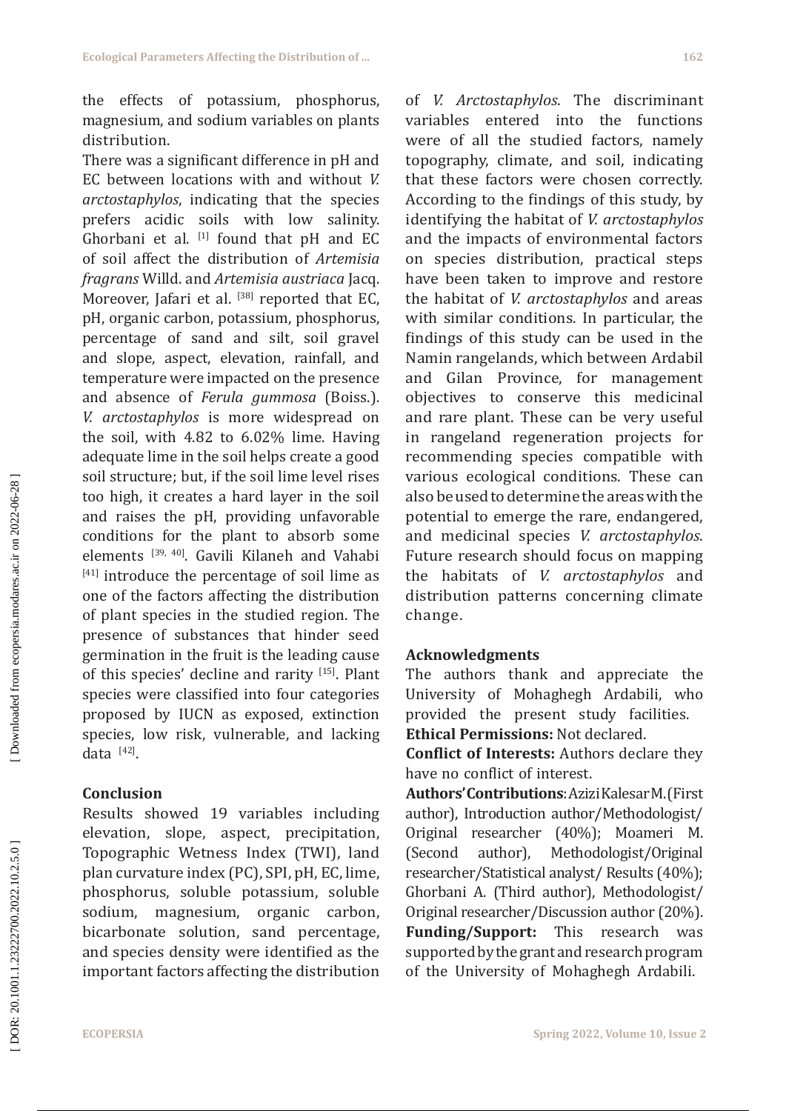the effects of potassium, phosphorus, magnesium, and sodium variables on plants distribution.

There was a significant difference in pH and EC between locations with and without *V. arctostaphylos*, indicating that the species prefers acidic soils with low salinity. Ghorbani et al.  $^{[1]}$  found that pH and EC of soil affect the distribution of *Artemisia fragrans* Willd. and *Artemisia austriaca* Jacq. Moreover, Jafari et al. [38] reported that EC, pH, organic carbon, potassium, phosphorus, percentage of sand and silt, soil gravel and slope, aspect, elevation, rainfall, and temperature were impacted on the presence and absence of *Ferula gummosa* (Boiss.). *V. arctostaphylos* is more widespread on the soil, with 4.82 to 6.02% lime. Having adequate lime in the soil helps create a good soil structure; but, if the soil lime level rises too high, it creates a hard layer in the soil and raises the pH, providing unfavorable conditions for the plant to absorb some elements [39, 40]. Gavili Kilaneh and Vahabi [41] introduce the percentage of soil lime as one of the factors affecting the distribution of plant species in the studied region. The presence of substances that hinder seed germination in the fruit is the leading cause of this species' decline and rarity [15]. Plant species were classified into four categories proposed by IUCN as exposed, extinction species, low risk, vulnerable, and lacking data $[42]$ .

### **Conclusion**

Results showed 19 variables including elevation, slope, aspect, precipitation, Topographic Wetness Index (TWI), land plan curvature index (PC), SPI, pH, EC, lime, phosphorus, soluble potassium, soluble sodium, magnesium, organic carbon, bicarbonate solution, sand percentage, and species density were identified as the important factors affecting the distribution of *V. Arctostaphylos* . The discriminant variables entered into the functions were of all the studied factors, namely topography, climate, and soil, indicating that these factors were chosen correctly. According to the findings of this study, by identifying the habitat of *V. arctostaphylos* and the impacts of environmental factors on species distribution, practical steps have been taken to improve and restore the habitat of *V. arctostaphylos* and areas with similar conditions. In particular, the findings of this study can be used in the Namin rangelands, which between Ardabil and Gilan Province, for management objectives to conserve this medicinal and rare plant. These can be very useful in rangeland regeneration projects for recommending species compatible with various ecological conditions. These can also be used to determine the areas with the potential to emerge the rare, endangered, and medicinal species *V. arctostaphylos*. Future research should focus on mapping the habitats of *V. arctostaphylos* and distribution patterns concerning climate change.

## **Acknowledgments**

The authors thank and appreciate the University of Mohaghegh Ardabili, who provided the present study facilities. **Ethical Permissions:** Not declared.

**Conflict of Interests:** Authors declare they have no conflict of interest.

**Authors' Contributions**: Azizi Kalesar M. (First author), Introduction author/Methodologist/ Original researcher (40%); Moameri M. (Second author), Methodologist/Original researcher/Statistical analyst/ Results (40%); Ghorbani A. (Third author), Methodologist/ Original researcher/Discussion author (20%). **Funding/Support:** This research was supported by the grant and research program of the University of Mohaghegh Ardabili.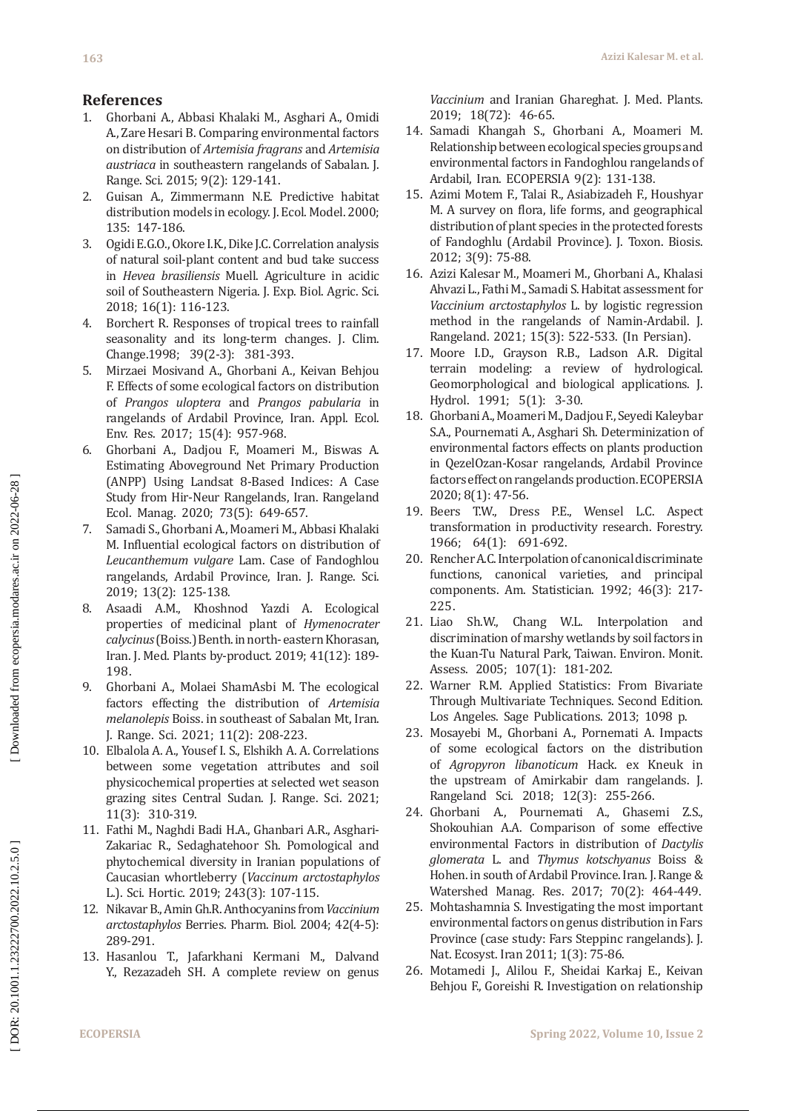### **References**

- 1. Ghorbani A., Abbasi Khalaki M., Asghari A., Omidi A., Zare Hesari B. Comparing environmental factors on distribution of *Artemisia fragrans* and *Artemisia austriaca* in southeastern rangelands of Sabalan. J. Range. Sci. 2015; 9(2): 129-141.
- 2. Guisan A., Zimmermann N.E. Predictive habitat distribution models in ecology. J. Ecol. Model. 2000; 135: 147-186.
- 3. Ogidi E.G.O., Okore I.K., Dike J.C. Correlation analysis of natural soil-plant content and bud take success in *Hevea brasiliensis* Muell. Agriculture in acidic soil of Southeastern Nigeria. J. Exp. Biol. Agric. Sci. 2018; 16(1): 116-123.
- 4. Borchert R. Responses of tropical trees to rainfall seasonality and its long-term changes. J. Clim. Change.1998; 39(2-3): 381-393.
- 5. Mirzaei Mosivand A., Ghorbani A., Keivan Behjou F. Effects of some ecological factors on distribution of *Prangos uloptera* and *Prangos pabularia* in rangelands of Ardabil Province, Iran. Appl. Ecol. Env. Res. 2017; 15(4): 957-968.
- 6. Ghorbani A., Dadjou F., Moameri M., Biswas A. Estimating Aboveground Net Primary Production (ANPP) Using Landsat 8-Based Indices: A Case Study from Hir-Neur Rangelands, Iran. Rangeland Ecol. Manag. 2020; 73(5): 649-657.
- 7. Samadi S., Ghorbani A., Moameri M., Abbasi Khalaki M. Influential ecological factors on distribution of *Leucanthemum vulgare* Lam. Case of Fandoghlou rangelands, Ardabil Province, Iran. J. Range. Sci. 2019; 13(2): 125-138.
- 8. Asaadi A.M., Khoshnod Yazdi A. Ecological properties of medicinal plant of *Hymenocrater calycinus* (Boiss.) Benth. in north- eastern Khorasan, Iran. J. Med. Plants by-product. 2019; 41(12): 189- 198.
- 9. Ghorbani A., Molaei ShamAsbi M. The ecological factors effecting the distribution of *Artemisia melanolepis* Boiss. in southeast of Sabalan Mt, Iran. J. Range. Sci. 2021; 11(2): 208-223.
- 10. Elbalola A. A., Yousef I. S., Elshikh A. A. Correlations between some vegetation attributes and soil physicochemical properties at selected wet season grazing sites Central Sudan. J. Range. Sci. 2021; 11(3): 310-319.
- 11. Fathi M., Naghdi Badi H.A., Ghanbari A.R., Asghari-Zakariac R., Sedaghatehoor Sh. Pomological and phytochemical diversity in Iranian populations of Caucasian whortleberry (*Vaccinum arctostaphylos* L.). Sci. Hortic. 2019; 243(3): 107-115.
- 12. Nikavar B., Amin Gh.R. Anthocyanins from *Vaccinium arctostaphylos* Berries. Pharm. Biol. 2004; 42(4-5): 289-291.
- 13. Hasanlou T., Jafarkhani Kermani M., Dalvand Y., Rezazadeh SH. A complete review on genus

*Vaccinium* and Iranian Ghareghat. J. Med. Plants. 2019; 18(72): 46-65.

- 14. Samadi Khangah S., Ghorbani A., Moameri M. [Relationship between ecological species groups and](https://scholar.google.com/citations?view_op=view_citation&hl=en&user=ykDPq8QAAAAJ&cstart=20&pagesize=80&alert_preview_top_rm=2&citation_for_view=ykDPq8QAAAAJ:-FonjvnnhkoC)  [environmental factors in Fandoghlou rangelands of](https://scholar.google.com/citations?view_op=view_citation&hl=en&user=ykDPq8QAAAAJ&cstart=20&pagesize=80&alert_preview_top_rm=2&citation_for_view=ykDPq8QAAAAJ:-FonjvnnhkoC)  [Ardabil, Iran](https://scholar.google.com/citations?view_op=view_citation&hl=en&user=ykDPq8QAAAAJ&cstart=20&pagesize=80&alert_preview_top_rm=2&citation_for_view=ykDPq8QAAAAJ:-FonjvnnhkoC). ECOPERSIA 9(2): 131-138.
- 15. Azimi Motem F., Talai R., Asiabizadeh F., Houshyar M. A survey on flora, life forms, and geographical distribution of plant species in the protected forests of Fandoghlu (Ardabil Province). J. Toxon. Biosis. 2012; 3(9): 75-88.
- 16. [Azizi Kalesar](http://rangelandsrm.ir/search.php?sid=1&slc_lang=en&auth=Azizi+Kalesar) M., [Moameri](http://rangelandsrm.ir/search.php?sid=1&slc_lang=en&auth=Moameri) M., [Ghorbani](http://rangelandsrm.ir/search.php?sid=1&slc_lang=en&auth=Ghorbani) A., [Khalasi](http://rangelandsrm.ir/search.php?sid=1&slc_lang=en&auth=Khalasi+Ahvazi)  [Ahvazi](http://rangelandsrm.ir/search.php?sid=1&slc_lang=en&auth=Khalasi+Ahvazi) L., [Fathi](http://rangelandsrm.ir/search.php?sid=1&slc_lang=en&auth=Fathi) M., [Samadi](http://rangelandsrm.ir/search.php?sid=1&slc_lang=en&auth=Samadi) S. [Habitat assessment for](http://rangelandsrm.ir/article-1-1071-en.pdf)  *[Vaccinium arctostaphylos](http://rangelandsrm.ir/article-1-1071-en.pdf)* L. by logistic regression [method in the rangelands of Namin-Ardabil.](http://rangelandsrm.ir/article-1-1071-en.pdf) J. Rangeland. 2021; 15(3): 522-533. (In Persian).
- 17. Moore I.D., Grayson R.B., Ladson A.R. Digital terrain modeling: a review of hydrological. Geomorphological and biological applications. J. Hydrol. 1991; 5(1): 3-30.
- 18. Ghorbani A., Moameri M., Dadjou F., Seyedi Kaleybar S.A., Pournemati A., Asghari Sh. [Determinization of](https://ecopersia.modares.ac.ir/browse.php?a_id=36698&sid=24&slc_lang=fa)  [environmental factors effects on plants production](https://ecopersia.modares.ac.ir/browse.php?a_id=36698&sid=24&slc_lang=fa)  [in QezelOzan-Kosar rangelands, Ardabil Province](https://ecopersia.modares.ac.ir/browse.php?a_id=36698&sid=24&slc_lang=fa)  [factors effect on rangelands production.](https://ecopersia.modares.ac.ir/browse.php?a_id=36698&sid=24&slc_lang=fa) ECOPERSIA 2020; 8(1): 47-56.
- 19. Beers T.W., Dress P.E., Wensel L.C. Aspect transformation in productivity research. Forestry. 1966; 64(1): 691-692.
- 20. Rencher A.C. Interpolation of canonical discriminate functions, canonical varieties, and principal components. Am. Statistician. 1992; 46(3): 217- 225.<br>21. Liao
- Sh.W., Chang W.L. Interpolation and discrimination of marshy wetlands by soil factors in the Kuan-Tu Natural Park, Taiwan. Environ. Monit. Assess. 2005; 107(1): 181-202.
- 22. Warner R.M. Applied Statistics: From Bivariate Through Multivariate Techniques. Second Edition. Los Angeles. Sage Publications. 2013; 1098 p.
- 23. Mosayebi M., Ghorbani A., Pornemati A. Impacts of some ecological factors on the distribution of *Agropyron libanoticum* Hack. ex Kneuk in the upstream of Amirkabir dam rangelands. J. Rangeland Sci. 2018; 12(3): 255-266.
- 24. Ghorbani A., Pournemati A., Ghasemi Z.S., Shokouhian A.A. Comparison of some effective environmental Factors in distribution of *Dactylis glomerata* L. and *Thymus kotschyanus* Boiss & Hohen. in south of Ardabil Province. Iran. J. Range & Watershed Manag. Res. 2017; 70(2): 464-449.
- 25. Mohtashamnia S. Investigating the most important environmental factors on genus distribution in Fars Province (case study: Fars Steppinc rangelands). J. Nat. Ecosyst. Iran 2011; 1(3): 75-86.
- 26. Motamedi J., Alilou F., Sheidai Karkaj E., Keivan Behjou F., Goreishi R. Investigation on relationship

Downloaded from ecopersia.modares.ac.ir on 2022-06-28